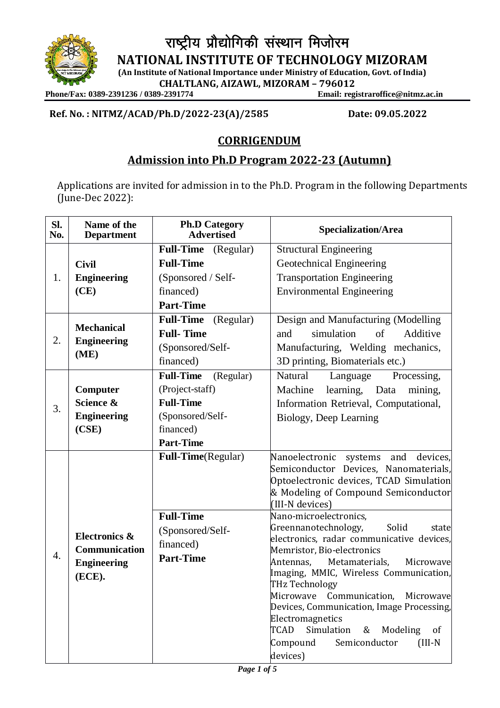

राष्ट्रीय प्रौद्योगिकी संस्थान मिजोरम

**NATIONAL INSTITUTE OF TECHNOLOGY MIZORAM**

**(An Institute of National Importance under Ministry of Education, Govt. of India) CHALTLANG, AIZAWL, MIZORAM – 796012**

**Phone/Fax: 0389-2391236 / 0389-2391774** 

**Ref. No. : NITMZ/ACAD/Ph.D/2022-23(A)/2585 Date: 09.05.2022**

## **CORRIGENDUM**

# **Admission into Ph.D Program 2022-23 (Autumn)**

Applications are invited for admission in to the Ph.D. Program in the following Departments (June-Dec 2022):

| Sl.<br>No. | Name of the<br><b>Department</b>                               | <b>Ph.D Category</b><br><b>Advertised</b>                                                                                 | <b>Specialization/Area</b>                                                                                                                                                                                                                                                                                                                                                                                                                                                                                                                                                                                                                                           |
|------------|----------------------------------------------------------------|---------------------------------------------------------------------------------------------------------------------------|----------------------------------------------------------------------------------------------------------------------------------------------------------------------------------------------------------------------------------------------------------------------------------------------------------------------------------------------------------------------------------------------------------------------------------------------------------------------------------------------------------------------------------------------------------------------------------------------------------------------------------------------------------------------|
| 1.         | <b>Civil</b>                                                   | <b>Full-Time</b> (Regular)<br><b>Full-Time</b>                                                                            | <b>Structural Engineering</b><br>Geotechnical Engineering                                                                                                                                                                                                                                                                                                                                                                                                                                                                                                                                                                                                            |
|            | <b>Engineering</b><br>(CE)                                     | (Sponsored / Self-<br>financed)<br><b>Part-Time</b>                                                                       | <b>Transportation Engineering</b><br><b>Environmental Engineering</b>                                                                                                                                                                                                                                                                                                                                                                                                                                                                                                                                                                                                |
| 2.         | <b>Mechanical</b><br><b>Engineering</b><br>(ME)                | <b>Full-Time</b><br>(Regular)<br><b>Full-Time</b><br>(Sponsored/Self-<br>financed)                                        | Design and Manufacturing (Modelling<br>and<br>simulation<br>of<br>Additive<br>Manufacturing, Welding mechanics,<br>3D printing, Biomaterials etc.)                                                                                                                                                                                                                                                                                                                                                                                                                                                                                                                   |
| 3.         | Computer<br>Science &<br><b>Engineering</b><br>(CSE)           | <b>Full-Time</b><br>(Regular)<br>(Project-staff)<br><b>Full-Time</b><br>(Sponsored/Self-<br>financed)<br><b>Part-Time</b> | Natural<br>Language<br>Processing,<br>learning, Data<br>Machine<br>mining,<br>Information Retrieval, Computational,<br>Biology, Deep Learning                                                                                                                                                                                                                                                                                                                                                                                                                                                                                                                        |
| 4.         | Electronics &<br>Communication<br><b>Engineering</b><br>(ECE). | Full-Time(Regular)<br><b>Full-Time</b><br>(Sponsored/Self-<br>financed)<br><b>Part-Time</b>                               | Nanoelectronic systems<br>and<br>devices,<br>Semiconductor Devices, Nanomaterials,<br>Optoelectronic devices, TCAD Simulation<br>& Modeling of Compound Semiconductor<br>(III-N devices)<br>Nano-microelectronics,<br>Greennanotechnology,<br>Solid<br>state<br>electronics, radar communicative devices,<br>Memristor, Bio-electronics<br>Antennas,<br>Metamaterials,<br>Microwave<br>Imaging, MMIC, Wireless Communication,<br>THz Technology<br>Microwave Communication, Microwave<br>Devices, Communication, Image Processing,<br>Electromagnetics<br>TCAD<br>Simulation<br>Modeling<br>&<br><sub>of</sub><br>Semiconductor<br>Compound<br>$(III-N)$<br>devices) |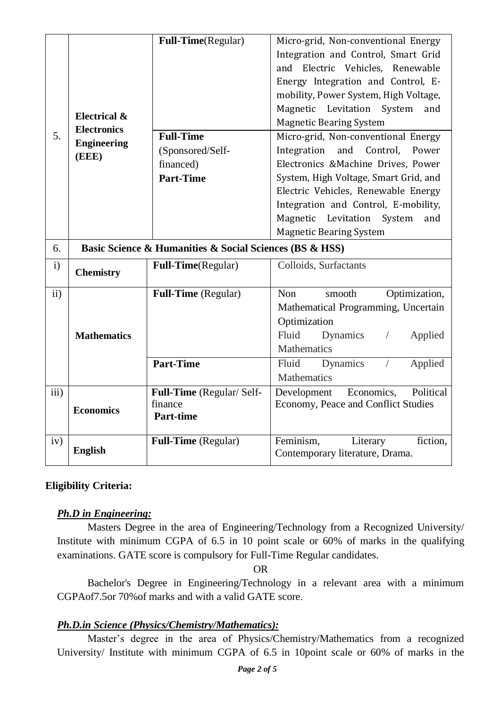| 5.            | <b>Electrical &amp;</b><br><b>Electronics</b><br><b>Engineering</b> | Full-Time(Regular)<br><b>Full-Time</b>                  | Micro-grid, Non-conventional Energy<br>Integration and Control, Smart Grid<br>and Electric Vehicles, Renewable<br>Energy Integration and Control, E-<br>mobility, Power System, High Voltage,<br>Magnetic Levitation<br>System<br>and<br><b>Magnetic Bearing System</b><br>Micro-grid, Non-conventional Energy |
|---------------|---------------------------------------------------------------------|---------------------------------------------------------|----------------------------------------------------------------------------------------------------------------------------------------------------------------------------------------------------------------------------------------------------------------------------------------------------------------|
|               | (EEE)                                                               | (Sponsored/Self-<br>financed)<br><b>Part-Time</b>       | Integration<br>and<br>Control,<br>Power<br>Electronics &Machine Drives, Power<br>System, High Voltage, Smart Grid, and<br>Electric Vehicles, Renewable Energy<br>Integration and Control, E-mobility,<br>Magnetic<br>Levitation<br>System<br>and<br><b>Magnetic Bearing System</b>                             |
| 6.            |                                                                     | Basic Science & Humanities & Social Sciences (BS & HSS) |                                                                                                                                                                                                                                                                                                                |
| $\mathbf{i}$  | <b>Chemistry</b>                                                    | Full-Time(Regular)                                      | Colloids, Surfactants                                                                                                                                                                                                                                                                                          |
| $\mathbf{ii}$ | <b>Mathematics</b>                                                  | Full-Time (Regular)<br><b>Part-Time</b>                 | <b>Non</b><br>Optimization,<br>smooth<br>Mathematical Programming, Uncertain<br>Optimization<br>Fluid<br>Dynamics<br>Applied<br>$\sqrt{2}$<br>Mathematics<br>Fluid<br>Dynamics<br>Applied<br>$\sqrt{2}$                                                                                                        |
|               |                                                                     |                                                         | <b>Mathematics</b>                                                                                                                                                                                                                                                                                             |
| iii)          | <b>Economics</b>                                                    | Full-Time (Regular/Self-<br>finance<br><b>Part-time</b> | Economics,<br>Political<br>Development<br>Economy, Peace and Conflict Studies                                                                                                                                                                                                                                  |
| iv)           | <b>English</b>                                                      | <b>Full-Time</b> (Regular)                              | Feminism,<br>Literary<br>fiction,<br>Contemporary literature, Drama.                                                                                                                                                                                                                                           |

## **Eligibility Criteria:**

#### *Ph.D in Engineering:*

Masters Degree in the area of Engineering/Technology from a Recognized University/ Institute with minimum CGPA of 6.5 in 10 point scale or 60% of marks in the qualifying examinations. GATE score is compulsory for Full-Time Regular candidates.

OR

Bachelor's Degree in Engineering/Technology in a relevant area with a minimum CGPAof7.5or 70%of marks and with a valid GATE score.

#### *Ph.D.in Science (Physics/Chemistry/Mathematics):*

Master's degree in the area of Physics/Chemistry/Mathematics from a recognized University/ Institute with minimum CGPA of 6.5 in 10point scale or 60% of marks in the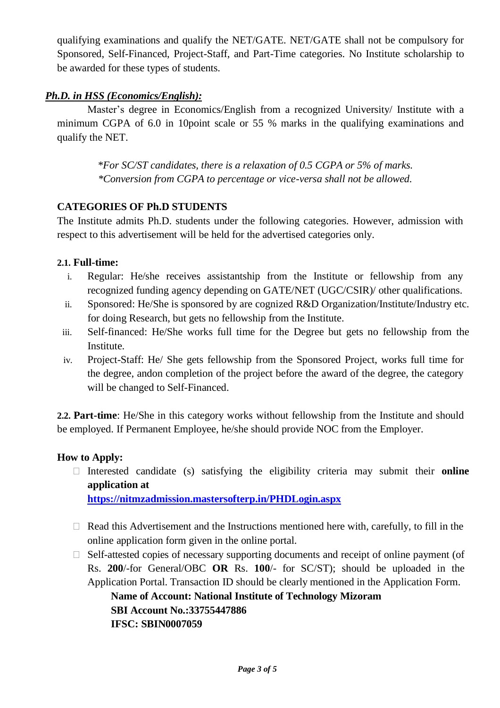qualifying examinations and qualify the NET/GATE. NET/GATE shall not be compulsory for Sponsored, Self-Financed, Project-Staff, and Part-Time categories. No Institute scholarship to be awarded for these types of students.

### *Ph.D. in HSS (Economics/English):*

Master's degree in Economics/English from a recognized University/ Institute with a minimum CGPA of 6.0 in 10point scale or 55 % marks in the qualifying examinations and qualify the NET.

 \**For SC/ST candidates, there is a relaxation of 0.5 CGPA or 5% of marks. \*Conversion from CGPA to percentage or vice-versa shall not be allowed.*

#### **CATEGORIES OF Ph.D STUDENTS**

The Institute admits Ph.D. students under the following categories. However, admission with respect to this advertisement will be held for the advertised categories only.

#### **2.1. Full-time:**

- i. Regular: He/she receives assistantship from the Institute or fellowship from any recognized funding agency depending on GATE/NET (UGC/CSIR)/ other qualifications.
- ii. Sponsored: He/She is sponsored by are cognized R&D Organization/Institute/Industry etc. for doing Research, but gets no fellowship from the Institute.
- iii. Self-financed: He/She works full time for the Degree but gets no fellowship from the Institute.
- iv. Project-Staff: He/ She gets fellowship from the Sponsored Project, works full time for the degree, andon completion of the project before the award of the degree, the category will be changed to Self-Financed.

**2.2. Part-time**: He/She in this category works without fellowship from the Institute and should be employed. If Permanent Employee, he/she should provide NOC from the Employer.

#### **How to Apply:**

 Interested candidate (s) satisfying the eligibility criteria may submit their **online application at <https://nitmzadmission.mastersofterp.in/PHDLogin.aspx>**

- $\Box$  Read this Advertisement and the Instructions mentioned here with, carefully, to fill in the online application form given in the online portal.
- $\Box$  Self-attested copies of necessary supporting documents and receipt of online payment (of Rs. **200**/-for General/OBC **OR** Rs. **100**/- for SC/ST); should be uploaded in the Application Portal. Transaction ID should be clearly mentioned in the Application Form.

**Name of Account: National Institute of Technology Mizoram SBI Account No.:33755447886 IFSC: SBIN0007059**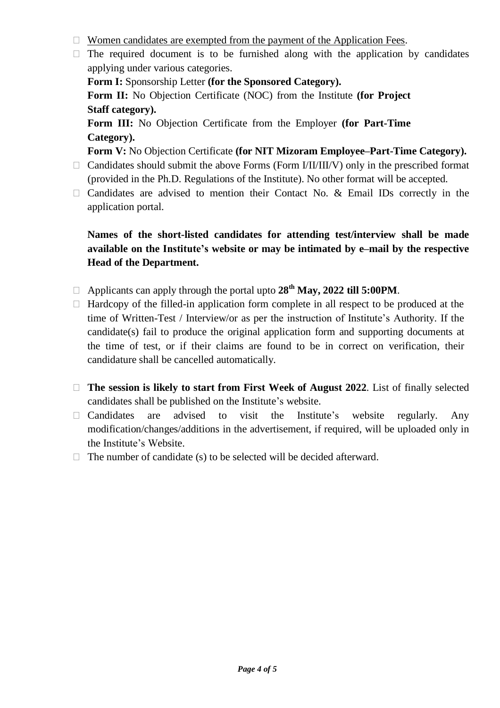- $\Box$  Women candidates are exempted from the payment of the Application Fees.
- $\Box$  The required document is to be furnished along with the application by candidates applying under various categories.

**Form I:** Sponsorship Letter **(for the Sponsored Category).**

**Form II:** No Objection Certificate (NOC) from the Institute **(for Project Staff category).**

**Form III:** No Objection Certificate from the Employer **(for Part-Time Category).**

**Form V:** No Objection Certificate **(for NIT Mizoram Employee–Part-Time Category).**

- $\Box$  Candidates should submit the above Forms (Form I/II/III/V) only in the prescribed format (provided in the Ph.D. Regulations of the Institute). No other format will be accepted.
- $\Box$  Candidates are advised to mention their Contact No. & Email IDs correctly in the application portal.

## **Names of the short-listed candidates for attending test/interview shall be made available on the Institute's website or may be intimated by e–mail by the respective Head of the Department.**

- Applicants can apply through the portal upto **28th May, 2022 till 5:00PM**.
- $\Box$  Hardcopy of the filled-in application form complete in all respect to be produced at the time of Written-Test / Interview/or as per the instruction of Institute's Authority. If the candidate(s) fail to produce the original application form and supporting documents at the time of test, or if their claims are found to be in correct on verification, their candidature shall be cancelled automatically.
- **The session is likely to start from First Week of August 2022**. List of finally selected candidates shall be published on the Institute's website.
- $\Box$  Candidates are advised to visit the Institute's website regularly. Any modification/changes/additions in the advertisement, if required, will be uploaded only in the Institute's Website.
- $\Box$  The number of candidate (s) to be selected will be decided afterward.